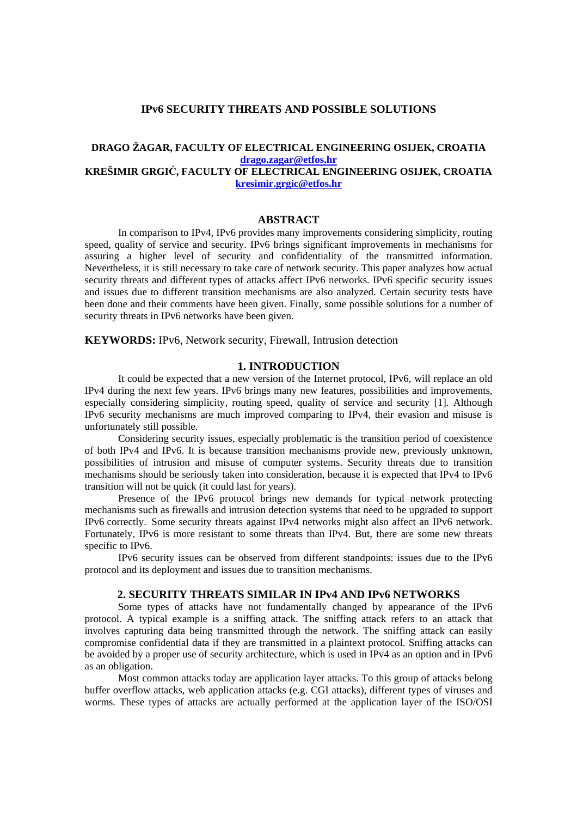# **IPv6 SECURITY THREATS AND POSSIBLE SOLUTIONS**

# **DRAGO ŽAGAR, FACULTY OF ELECTRICAL ENGINEERING OSIJEK, CROATIA drago.zagar@etfos.hr KREŠIMIR GRGI**Ć**, FACULTY OF ELECTRICAL ENGINEERING OSIJEK, CROATIA kresimir.grgic@etfos.hr**

# **ABSTRACT**

 In comparison to IPv4, IPv6 provides many improvements considering simplicity, routing speed, quality of service and security. IPv6 brings significant improvements in mechanisms for assuring a higher level of security and confidentiality of the transmitted information. Nevertheless, it is still necessary to take care of network security. This paper analyzes how actual security threats and different types of attacks affect IPv6 networks. IPv6 specific security issues and issues due to different transition mechanisms are also analyzed. Certain security tests have been done and their comments have been given. Finally, some possible solutions for a number of security threats in IPv6 networks have been given.

**KEYWORDS:** IPv6, Network security, Firewall, Intrusion detection

# **1. INTRODUCTION**

 It could be expected that a new version of the Internet protocol, IPv6, will replace an old IPv4 during the next few years. IPv6 brings many new features, possibilities and improvements, especially considering simplicity, routing speed, quality of service and security [1]. Although IPv6 security mechanisms are much improved comparing to IPv4, their evasion and misuse is unfortunately still possible.

 Considering security issues, especially problematic is the transition period of coexistence of both IPv4 and IPv6. It is because transition mechanisms provide new, previously unknown, possibilities of intrusion and misuse of computer systems. Security threats due to transition mechanisms should be seriously taken into consideration, because it is expected that IPv4 to IPv6 transition will not be quick (it could last for years).

 Presence of the IPv6 protocol brings new demands for typical network protecting mechanisms such as firewalls and intrusion detection systems that need to be upgraded to support IPv6 correctly. Some security threats against IPv4 networks might also affect an IPv6 network. Fortunately, IPv6 is more resistant to some threats than IPv4. But, there are some new threats specific to IPv6.

 IPv6 security issues can be observed from different standpoints: issues due to the IPv6 protocol and its deployment and issues due to transition mechanisms.

#### **2. SECURITY THREATS SIMILAR IN IPv4 AND IPv6 NETWORKS**

 Some types of attacks have not fundamentally changed by appearance of the IPv6 protocol. A typical example is a sniffing attack. The sniffing attack refers to an attack that involves capturing data being transmitted through the network. The sniffing attack can easily compromise confidential data if they are transmitted in a plaintext protocol. Sniffing attacks can be avoided by a proper use of security architecture, which is used in IPv4 as an option and in IPv6 as an obligation.

 Most common attacks today are application layer attacks. To this group of attacks belong buffer overflow attacks, web application attacks (e.g. CGI attacks), different types of viruses and worms. These types of attacks are actually performed at the application layer of the ISO/OSI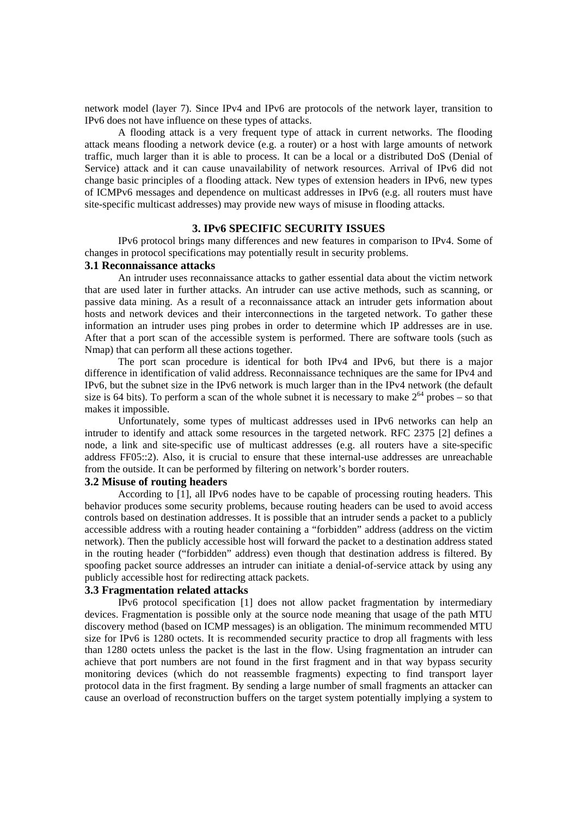network model (layer 7). Since IPv4 and IPv6 are protocols of the network layer, transition to IPv6 does not have influence on these types of attacks.

 A flooding attack is a very frequent type of attack in current networks. The flooding attack means flooding a network device (e.g. a router) or a host with large amounts of network traffic, much larger than it is able to process. It can be a local or a distributed DoS (Denial of Service) attack and it can cause unavailability of network resources. Arrival of IPv6 did not change basic principles of a flooding attack. New types of extension headers in IPv6, new types of ICMPv6 messages and dependence on multicast addresses in IPv6 (e.g. all routers must have site-specific multicast addresses) may provide new ways of misuse in flooding attacks.

# **3. IPv6 SPECIFIC SECURITY ISSUES**

 IPv6 protocol brings many differences and new features in comparison to IPv4. Some of changes in protocol specifications may potentially result in security problems.

### **3.1 Reconnaissance attacks**

 An intruder uses reconnaissance attacks to gather essential data about the victim network that are used later in further attacks. An intruder can use active methods, such as scanning, or passive data mining. As a result of a reconnaissance attack an intruder gets information about hosts and network devices and their interconnections in the targeted network. To gather these information an intruder uses ping probes in order to determine which IP addresses are in use. After that a port scan of the accessible system is performed. There are software tools (such as Nmap) that can perform all these actions together.

 The port scan procedure is identical for both IPv4 and IPv6, but there is a major difference in identification of valid address. Reconnaissance techniques are the same for IPv4 and IPv6, but the subnet size in the IPv6 network is much larger than in the IPv4 network (the default size is 64 bits). To perform a scan of the whole subnet it is necessary to make  $2^{64}$  probes – so that makes it impossible.

 Unfortunately, some types of multicast addresses used in IPv6 networks can help an intruder to identify and attack some resources in the targeted network. RFC 2375 [2] defines a node, a link and site-specific use of multicast addresses (e.g. all routers have a site-specific address FF05::2). Also, it is crucial to ensure that these internal-use addresses are unreachable from the outside. It can be performed by filtering on network's border routers.

#### **3.2 Misuse of routing headers**

 According to [1], all IPv6 nodes have to be capable of processing routing headers. This behavior produces some security problems, because routing headers can be used to avoid access controls based on destination addresses. It is possible that an intruder sends a packet to a publicly accessible address with a routing header containing a "forbidden" address (address on the victim network). Then the publicly accessible host will forward the packet to a destination address stated in the routing header ("forbidden" address) even though that destination address is filtered. By spoofing packet source addresses an intruder can initiate a denial-of-service attack by using any publicly accessible host for redirecting attack packets.

### **3.3 Fragmentation related attacks**

IPv6 protocol specification [1] does not allow packet fragmentation by intermediary devices. Fragmentation is possible only at the source node meaning that usage of the path MTU discovery method (based on ICMP messages) is an obligation. The minimum recommended MTU size for IPv6 is 1280 octets. It is recommended security practice to drop all fragments with less than 1280 octets unless the packet is the last in the flow. Using fragmentation an intruder can achieve that port numbers are not found in the first fragment and in that way bypass security monitoring devices (which do not reassemble fragments) expecting to find transport layer protocol data in the first fragment. By sending a large number of small fragments an attacker can cause an overload of reconstruction buffers on the target system potentially implying a system to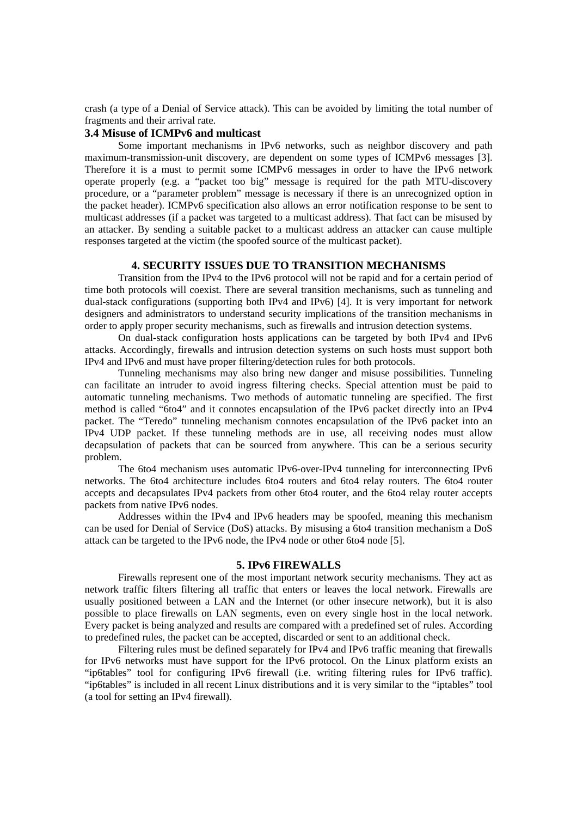crash (a type of a Denial of Service attack). This can be avoided by limiting the total number of fragments and their arrival rate.

### **3.4 Misuse of ICMPv6 and multicast**

 Some important mechanisms in IPv6 networks, such as neighbor discovery and path maximum-transmission-unit discovery, are dependent on some types of ICMPv6 messages [3]. Therefore it is a must to permit some ICMPv6 messages in order to have the IPv6 network operate properly (e.g. a "packet too big" message is required for the path MTU-discovery procedure, or a "parameter problem" message is necessary if there is an unrecognized option in the packet header). ICMPv6 specification also allows an error notification response to be sent to multicast addresses (if a packet was targeted to a multicast address). That fact can be misused by an attacker. By sending a suitable packet to a multicast address an attacker can cause multiple responses targeted at the victim (the spoofed source of the multicast packet).

### **4. SECURITY ISSUES DUE TO TRANSITION MECHANISMS**

 Transition from the IPv4 to the IPv6 protocol will not be rapid and for a certain period of time both protocols will coexist. There are several transition mechanisms, such as tunneling and dual-stack configurations (supporting both IPv4 and IPv6) [4]. It is very important for network designers and administrators to understand security implications of the transition mechanisms in order to apply proper security mechanisms, such as firewalls and intrusion detection systems.

 On dual-stack configuration hosts applications can be targeted by both IPv4 and IPv6 attacks. Accordingly, firewalls and intrusion detection systems on such hosts must support both IPv4 and IPv6 and must have proper filtering/detection rules for both protocols.

 Tunneling mechanisms may also bring new danger and misuse possibilities. Tunneling can facilitate an intruder to avoid ingress filtering checks. Special attention must be paid to automatic tunneling mechanisms. Two methods of automatic tunneling are specified. The first method is called "6to4" and it connotes encapsulation of the IPv6 packet directly into an IPv4 packet. The "Teredo" tunneling mechanism connotes encapsulation of the IPv6 packet into an IPv4 UDP packet. If these tunneling methods are in use, all receiving nodes must allow decapsulation of packets that can be sourced from anywhere. This can be a serious security problem.

 The 6to4 mechanism uses automatic IPv6-over-IPv4 tunneling for interconnecting IPv6 networks. The 6to4 architecture includes 6to4 routers and 6to4 relay routers. The 6to4 router accepts and decapsulates IPv4 packets from other 6to4 router, and the 6to4 relay router accepts packets from native IPv6 nodes.

 Addresses within the IPv4 and IPv6 headers may be spoofed, meaning this mechanism can be used for Denial of Service (DoS) attacks. By misusing a 6to4 transition mechanism a DoS attack can be targeted to the IPv6 node, the IPv4 node or other 6to4 node [5].

#### **5. IPv6 FIREWALLS**

 Firewalls represent one of the most important network security mechanisms. They act as network traffic filters filtering all traffic that enters or leaves the local network. Firewalls are usually positioned between a LAN and the Internet (or other insecure network), but it is also possible to place firewalls on LAN segments, even on every single host in the local network. Every packet is being analyzed and results are compared with a predefined set of rules. According to predefined rules, the packet can be accepted, discarded or sent to an additional check.

 Filtering rules must be defined separately for IPv4 and IPv6 traffic meaning that firewalls for IPv6 networks must have support for the IPv6 protocol. On the Linux platform exists an "ip6tables" tool for configuring IPv6 firewall (i.e. writing filtering rules for IPv6 traffic). "ip6tables" is included in all recent Linux distributions and it is very similar to the "iptables" tool (a tool for setting an IPv4 firewall).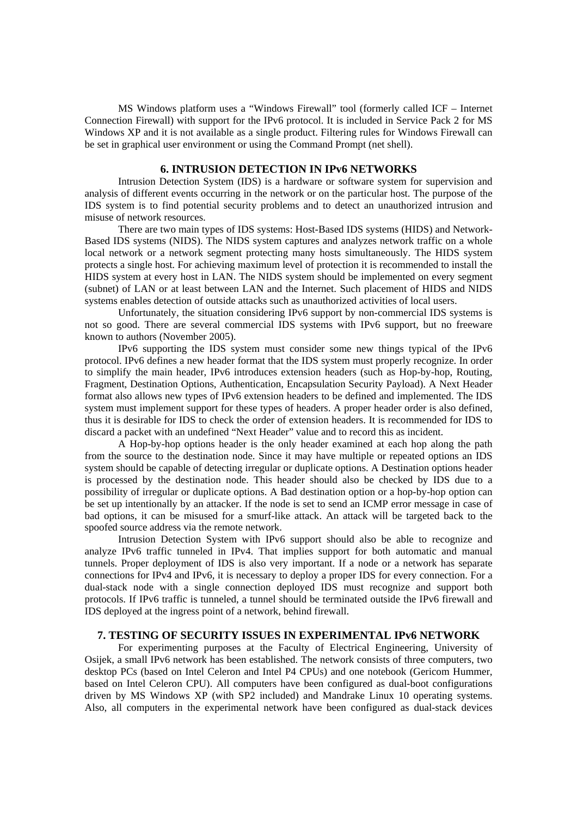MS Windows platform uses a "Windows Firewall" tool (formerly called ICF – Internet Connection Firewall) with support for the IPv6 protocol. It is included in Service Pack 2 for MS Windows XP and it is not available as a single product. Filtering rules for Windows Firewall can be set in graphical user environment or using the Command Prompt (net shell).

# **6. INTRUSION DETECTION IN IPv6 NETWORKS**

 Intrusion Detection System (IDS) is a hardware or software system for supervision and analysis of different events occurring in the network or on the particular host. The purpose of the IDS system is to find potential security problems and to detect an unauthorized intrusion and misuse of network resources.

 There are two main types of IDS systems: Host-Based IDS systems (HIDS) and Network-Based IDS systems (NIDS). The NIDS system captures and analyzes network traffic on a whole local network or a network segment protecting many hosts simultaneously. The HIDS system protects a single host. For achieving maximum level of protection it is recommended to install the HIDS system at every host in LAN. The NIDS system should be implemented on every segment (subnet) of LAN or at least between LAN and the Internet. Such placement of HIDS and NIDS systems enables detection of outside attacks such as unauthorized activities of local users.

 Unfortunately, the situation considering IPv6 support by non-commercial IDS systems is not so good. There are several commercial IDS systems with IPv6 support, but no freeware known to authors (November 2005).

 IPv6 supporting the IDS system must consider some new things typical of the IPv6 protocol. IPv6 defines a new header format that the IDS system must properly recognize. In order to simplify the main header, IPv6 introduces extension headers (such as Hop-by-hop, Routing, Fragment, Destination Options, Authentication, Encapsulation Security Payload). A Next Header format also allows new types of IPv6 extension headers to be defined and implemented. The IDS system must implement support for these types of headers. A proper header order is also defined, thus it is desirable for IDS to check the order of extension headers. It is recommended for IDS to discard a packet with an undefined "Next Header" value and to record this as incident.

 A Hop-by-hop options header is the only header examined at each hop along the path from the source to the destination node. Since it may have multiple or repeated options an IDS system should be capable of detecting irregular or duplicate options. A Destination options header is processed by the destination node. This header should also be checked by IDS due to a possibility of irregular or duplicate options. A Bad destination option or a hop-by-hop option can be set up intentionally by an attacker. If the node is set to send an ICMP error message in case of bad options, it can be misused for a smurf-like attack. An attack will be targeted back to the spoofed source address via the remote network.

 Intrusion Detection System with IPv6 support should also be able to recognize and analyze IPv6 traffic tunneled in IPv4. That implies support for both automatic and manual tunnels. Proper deployment of IDS is also very important. If a node or a network has separate connections for IPv4 and IPv6, it is necessary to deploy a proper IDS for every connection. For a dual-stack node with a single connection deployed IDS must recognize and support both protocols. If IPv6 traffic is tunneled, a tunnel should be terminated outside the IPv6 firewall and IDS deployed at the ingress point of a network, behind firewall.

#### **7. TESTING OF SECURITY ISSUES IN EXPERIMENTAL IPv6 NETWORK**

 For experimenting purposes at the Faculty of Electrical Engineering, University of Osijek, a small IPv6 network has been established. The network consists of three computers, two desktop PCs (based on Intel Celeron and Intel P4 CPUs) and one notebook (Gericom Hummer, based on Intel Celeron CPU). All computers have been configured as dual-boot configurations driven by MS Windows XP (with SP2 included) and Mandrake Linux 10 operating systems. Also, all computers in the experimental network have been configured as dual-stack devices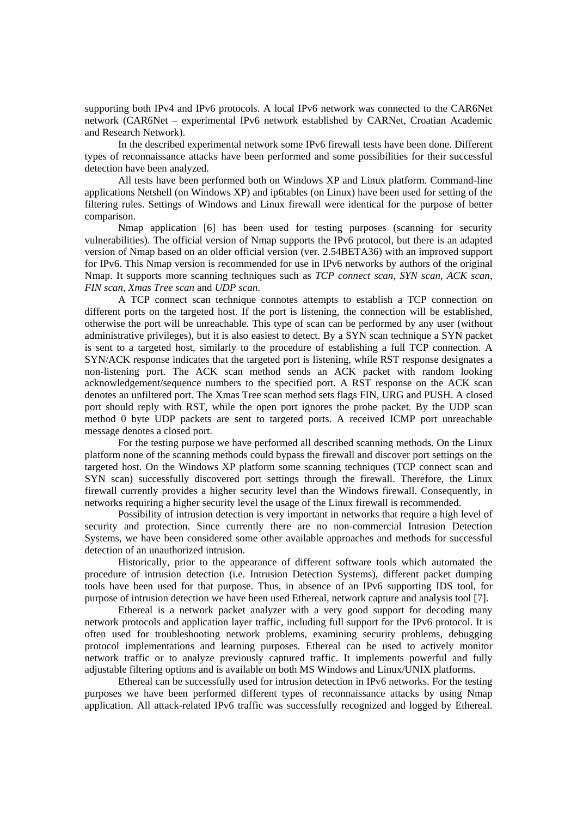supporting both IPv4 and IPv6 protocols. A local IPv6 network was connected to the CAR6Net network (CAR6Net – experimental IPv6 network established by CARNet, Croatian Academic and Research Network).

 In the described experimental network some IPv6 firewall tests have been done. Different types of reconnaissance attacks have been performed and some possibilities for their successful detection have been analyzed.

 All tests have been performed both on Windows XP and Linux platform. Command-line applications Netshell (on Windows XP) and ip6tables (on Linux) have been used for setting of the filtering rules. Settings of Windows and Linux firewall were identical for the purpose of better comparison.

 Nmap application [6] has been used for testing purposes (scanning for security vulnerabilities). The official version of Nmap supports the IPv6 protocol, but there is an adapted version of Nmap based on an older official version (ver. 2.54BETA36) with an improved support for IPv6. This Nmap version is recommended for use in IPv6 networks by authors of the original Nmap. It supports more scanning techniques such as *TCP connect scan*, *SYN scan*, *ACK scan*, *FIN scan*, *Xmas Tree scan* and *UDP scan*.

 A TCP connect scan technique connotes attempts to establish a TCP connection on different ports on the targeted host. If the port is listening, the connection will be established, otherwise the port will be unreachable. This type of scan can be performed by any user (without administrative privileges), but it is also easiest to detect. By a SYN scan technique a SYN packet is sent to a targeted host, similarly to the procedure of establishing a full TCP connection. A SYN/ACK response indicates that the targeted port is listening, while RST response designates a non-listening port. The ACK scan method sends an ACK packet with random looking acknowledgement/sequence numbers to the specified port. A RST response on the ACK scan denotes an unfiltered port. The Xmas Tree scan method sets flags FIN, URG and PUSH. A closed port should reply with RST, while the open port ignores the probe packet. By the UDP scan method 0 byte UDP packets are sent to targeted ports. A received ICMP port unreachable message denotes a closed port.

 For the testing purpose we have performed all described scanning methods. On the Linux platform none of the scanning methods could bypass the firewall and discover port settings on the targeted host. On the Windows XP platform some scanning techniques (TCP connect scan and SYN scan) successfully discovered port settings through the firewall. Therefore, the Linux firewall currently provides a higher security level than the Windows firewall. Consequently, in networks requiring a higher security level the usage of the Linux firewall is recommended.

 Possibility of intrusion detection is very important in networks that require a high level of security and protection. Since currently there are no non-commercial Intrusion Detection Systems, we have been considered some other available approaches and methods for successful detection of an unauthorized intrusion.

 Historically, prior to the appearance of different software tools which automated the procedure of intrusion detection (i.e. Intrusion Detection Systems), different packet dumping tools have been used for that purpose. Thus, in absence of an IPv6 supporting IDS tool, for purpose of intrusion detection we have been used Ethereal, network capture and analysis tool [7].

 Ethereal is a network packet analyzer with a very good support for decoding many network protocols and application layer traffic, including full support for the IPv6 protocol. It is often used for troubleshooting network problems, examining security problems, debugging protocol implementations and learning purposes. Ethereal can be used to actively monitor network traffic or to analyze previously captured traffic. It implements powerful and fully adjustable filtering options and is available on both MS Windows and Linux/UNIX platforms.

 Ethereal can be successfully used for intrusion detection in IPv6 networks. For the testing purposes we have been performed different types of reconnaissance attacks by using Nmap application. All attack-related IPv6 traffic was successfully recognized and logged by Ethereal.